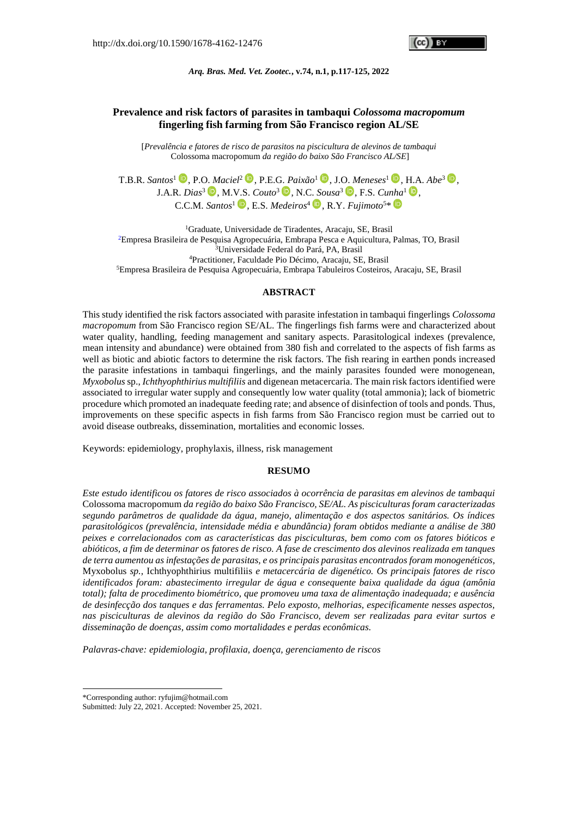GGIII BY

*Arq. Bras. Med. Vet. Zootec.***, v.74, n.1, p.117-125, 2022**

# **Prevalence and risk factors of parasites in tambaqui** *Colossoma macropomum* **fingerling fish farming from São Francisco region AL/SE**

[*Prevalência e fatores de risco de parasitos na piscicultura de alevinos de tambaqui* Colossoma macropomum *da região do baixo São Francisco AL/SE*]

T.B.R. *Santos*<sup>1</sup> **D**[,](https://orcid.org/0000-0002-5717-9641) P.O. *Maciel*<sup>2</sup> **D**, P.E.G. *Paixão*<sup>1</sup> **D**, J.O. *Meneses*<sup>1</sup> **D**, H.A. *Abe*<sup>3</sup> **D**, J.A.R. *Dias*<sup>3</sup>  $\bullet$ [,](https://orcid.org/0000-0002-7580-5650) M.V.S. *Couto*<sup>3</sup>  $\bullet$ , N.C. *Sousa*<sup>3</sup>  $\bullet$ , F.S. *Cunha*<sup>1</sup>  $\bullet$ , C.C.M. *Santos*<sup>1</sup> [,](https://orcid.org/0000-0003-4545-2505) E.S. *Medeiros*<sup>4</sup> [,](https://orcid.org/0000-0001-7174-8815) R.Y. *Fujimoto*<sup>5</sup>\*

Graduate, Universidade de Tiradentes, Aracaju, SE, Brasil Empresa Brasileira de Pesquisa Agropecuária, Embrapa Pesca e Aquicultura, Palmas, TO, Brasil <sup>3</sup>Universidade Federal do Pará, PA, Brasil Practitioner, Faculdade Pio Décimo, Aracaju, SE, Brasil Empresa Brasileira de Pesquisa Agropecuária, Embrapa Tabuleiros Costeiros, Aracaju, SE, Brasil

### **ABSTRACT**

This study identified the risk factors associated with parasite infestation in tambaqui fingerlings *Colossoma macropomum* from São Francisco region SE/AL. The fingerlings fish farms were and characterized about water quality, handling, feeding management and sanitary aspects. Parasitological indexes (prevalence, mean intensity and abundance) were obtained from 380 fish and correlated to the aspects of fish farms as well as biotic and abiotic factors to determine the risk factors. The fish rearing in earthen ponds increased the parasite infestations in tambaqui fingerlings, and the mainly parasites founded were monogenean, *Myxobolus*sp., *Ichthyophthirius multifiliis* and digenean metacercaria. The main risk factors identified were associated to irregular water supply and consequently low water quality (total ammonia); lack of biometric procedure which promoted an inadequate feeding rate; and absence of disinfection of tools and ponds. Thus, improvements on these specific aspects in fish farms from São Francisco region must be carried out to avoid disease outbreaks, dissemination, mortalities and economic losses.

Keywords: epidemiology, prophylaxis, illness, risk management

### **RESUMO**

*Este estudo identificou os fatores de risco associados à ocorrência de parasitas em alevinos de tambaqui*  Colossoma macropomum *da região do baixo São Francisco, SE/AL. As pisciculturas foram caracterizadas segundo parâmetros de qualidade da água, manejo, alimentação e dos aspectos sanitários. Os índices parasitológicos (prevalência, intensidade média e abundância) foram obtidos mediante a análise de 380 peixes e correlacionados com as características das pisciculturas, bem como com os fatores bióticos e abióticos, a fim de determinar os fatores de risco. A fase de crescimento dos alevinos realizada em tanques de terra aumentou as infestações de parasitas, e os principais parasitas encontrados foram monogenéticos,*  Myxobolus *sp.,* Ichthyophthirius multifiliis *e metacercária de digenético. Os principais fatores de risco identificados foram: abastecimento irregular de água e consequente baixa qualidade da água (amônia total); falta de procedimento biométrico, que promoveu uma taxa de alimentação inadequada; e ausência de desinfecção dos tanques e das ferramentas. Pelo exposto, melhorias, especificamente nesses aspectos, nas pisciculturas de alevinos da região do São Francisco, devem ser realizadas para evitar surtos e disseminação de doenças, assim como mortalidades e perdas econômicas.*

*Palavras-chave: epidemiologia, profilaxia, doença, gerenciamento de riscos*

-

<sup>\*</sup>Corresponding author: ryfujim@hotmail.com

Submitted: July 22, 2021. Accepted: November 25, 2021.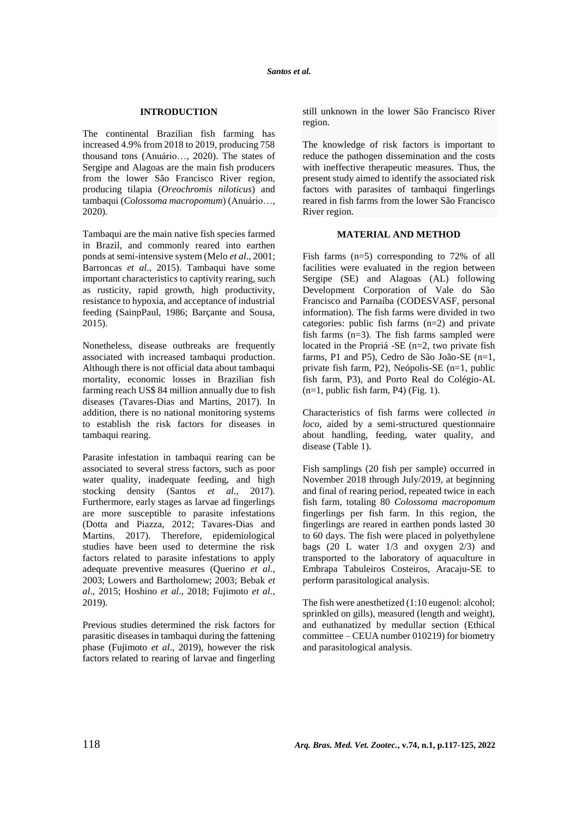## **INTRODUCTION**

The continental Brazilian fish farming has increased 4.9% from 2018 to 2019, producing 758 thousand tons (Anuário…, 2020). The states of Sergipe and Alagoas are the main fish producers from the lower São Francisco River region, producing tilapia (*Oreochromis niloticus*) and tambaqui (*Colossoma macropomum*) (Anuário…, 2020)*.*

Tambaqui are the main native fish species farmed in Brazil, and commonly reared into earthen ponds at semi-intensive system (Melo *et al*., 2001; Barroncas *et al*., 2015). Tambaqui have some important characteristics to captivity rearing, such as rusticity, rapid growth, high productivity, resistance to hypoxia, and acceptance of industrial feeding (SainpPaul, 1986; Barçante and Sousa, 2015).

Nonetheless, disease outbreaks are frequently associated with increased tambaqui production. Although there is not official data about tambaqui mortality, economic losses in Brazilian fish farming reach US\$ 84 million annually due to fish diseases (Tavares-Dias and Martins, 2017). In addition, there is no national monitoring systems to establish the risk factors for diseases in tambaqui rearing.

Parasite infestation in tambaqui rearing can be associated to several stress factors, such as poor water quality, inadequate feeding, and high stocking density (Santos *et al*., 2017). Furthermore, early stages as larvae ad fingerlings are more susceptible to parasite infestations (Dotta and Piazza, 2012; Tavares-Dias and Martins, 2017). Therefore, epidemiological studies have been used to determine the risk factors related to parasite infestations to apply adequate preventive measures (Querino *et al*., 2003; Lowers and Bartholomew; 2003; Bebak *et al*., 2015; Hoshino *et al*., 2018; Fujimoto *et al*., 2019).

Previous studies determined the risk factors for parasitic diseases in tambaqui during the fattening phase (Fujimoto *et al*., 2019), however the risk factors related to rearing of larvae and fingerling still unknown in the lower São Francisco River region.

The knowledge of risk factors is important to reduce the pathogen dissemination and the costs with ineffective therapeutic measures. Thus, the present study aimed to identify the associated risk factors with parasites of tambaqui fingerlings reared in fish farms from the lower São Francisco River region.

### **MATERIAL AND METHOD**

Fish farms (n=5) corresponding to 72% of all facilities were evaluated in the region between Sergipe (SE) and Alagoas (AL) following Development Corporation of Vale do São Francisco and Parnaíba (CODESVASF, personal information). The fish farms were divided in two categories: public fish farms (n=2) and private fish farms (n=3). The fish farms sampled were located in the Propriá -SE (n=2, two private fish farms, P1 and P5), Cedro de São João-SE (n=1, private fish farm, P2), Neópolis-SE (n=1, public fish farm, P3), and Porto Real do Colégio-AL  $(n=1,$  public fish farm, P4) (Fig. 1).

Characteristics of fish farms were collected *in loco*, aided by a semi-structured questionnaire about handling, feeding, water quality, and disease (Table 1).

Fish samplings (20 fish per sample) occurred in November 2018 through July/2019, at beginning and final of rearing period, repeated twice in each fish farm, totaling 80 *Colossoma macropomum* fingerlings per fish farm. In this region, the fingerlings are reared in earthen ponds lasted 30 to 60 days. The fish were placed in polyethylene bags (20 L water 1/3 and oxygen 2/3) and transported to the laboratory of aquaculture in Embrapa Tabuleiros Costeiros, Aracaju-SE to perform parasitological analysis.

The fish were anesthetized (1:10 eugenol: alcohol; sprinkled on gills), measured (length and weight), and euthanatized by medullar section (Ethical committee – CEUA number 010219) for biometry and parasitological analysis.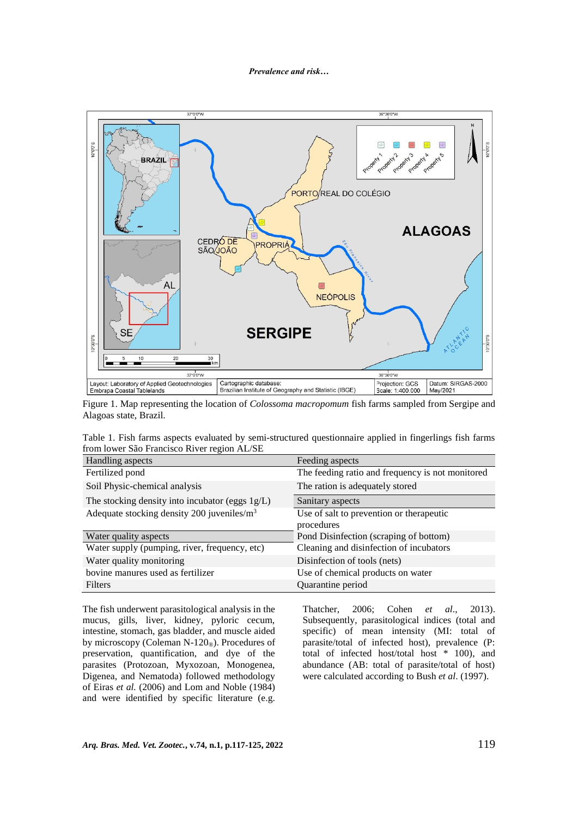

Figure 1. Map representing the location of *Colossoma macropomum* fish farms sampled from Sergipe and Alagoas state, Brazil.

| Table 1. Fish farms aspects evaluated by semi-structured questionnaire applied in fingerlings fish farms |  |  |  |
|----------------------------------------------------------------------------------------------------------|--|--|--|
| from lower São Francisco River region AL/SE                                                              |  |  |  |

| Handling aspects                                | Feeding aspects                                  |
|-------------------------------------------------|--------------------------------------------------|
| Fertilized pond                                 | The feeding ratio and frequency is not monitored |
| Soil Physic-chemical analysis                   | The ration is adequately stored                  |
| The stocking density into incubator (eggs 1g/L) | Sanitary aspects                                 |
| Adequate stocking density 200 juveniles/ $m3$   | Use of salt to prevention or therapeutic         |
|                                                 | procedures                                       |
| Water quality aspects                           | Pond Disinfection (scraping of bottom)           |
| Water supply (pumping, river, frequency, etc)   | Cleaning and disinfection of incubators          |
| Water quality monitoring                        | Disinfection of tools (nets)                     |
| bovine manures used as fertilizer               | Use of chemical products on water                |
| Filters                                         | Quarantine period                                |

The fish underwent parasitological analysis in the mucus, gills, liver, kidney, pyloric cecum, intestine, stomach, gas bladder, and muscle aided by microscopy (Coleman N-120<sup>®</sup>). Procedures of preservation, quantification, and dye of the parasites (Protozoan, Myxozoan, Monogenea, Digenea, and Nematoda) followed methodology of Eiras *et al.* (2006) and Lom and Noble (1984) and were identified by specific literature (e.g.

Thatcher, 2006; Cohen *et al*., 2013). Subsequently, parasitological indices (total and specific) of mean intensity (MI: total of parasite/total of infected host), prevalence (P: total of infected host/total host \* 100), and abundance (AB: total of parasite/total of host) were calculated according to Bush *et al*. (1997).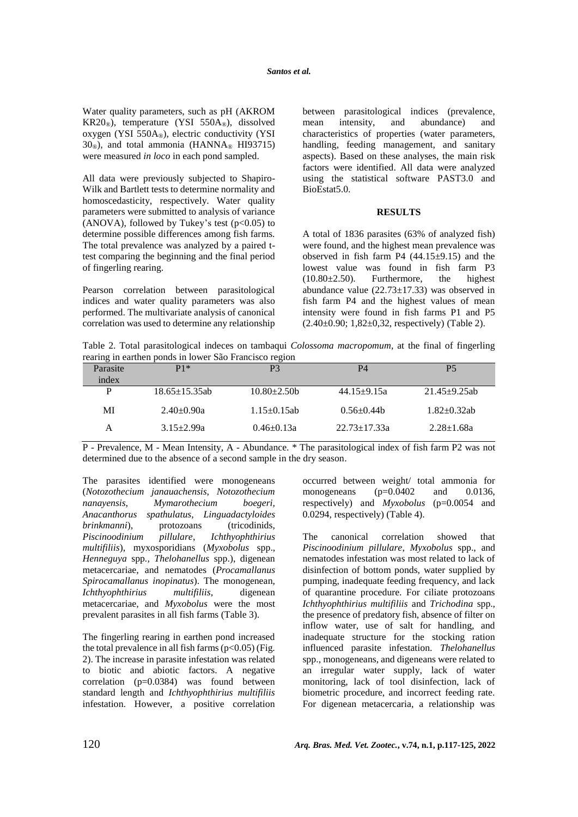Water quality parameters, such as pH (AKROM KR20®), temperature (YSI 550A®), dissolved oxygen (YSI 550A®), electric conductivity (YSI  $30<sub>®</sub>$ ), and total ammonia (HANNA<sup>®</sup> HI93715) were measured *in loco* in each pond sampled.

All data were previously subjected to Shapiro-Wilk and Bartlett tests to determine normality and homoscedasticity, respectively. Water quality parameters were submitted to analysis of variance (ANOVA), followed by Tukey's test  $(p<0.05)$  to determine possible differences among fish farms. The total prevalence was analyzed by a paired ttest comparing the beginning and the final period of fingerling rearing.

Pearson correlation between parasitological indices and water quality parameters was also performed. The multivariate analysis of canonical correlation was used to determine any relationship between parasitological indices (prevalence, mean intensity, and abundance) and characteristics of properties (water parameters, handling, feeding management, and sanitary aspects). Based on these analyses, the main risk factors were identified. All data were analyzed using the statistical software PAST3.0 and BioEstat5.0.

### **RESULTS**

A total of 1836 parasites (63% of analyzed fish) were found, and the highest mean prevalence was observed in fish farm  $P4$  (44.15 $\pm$ 9.15) and the lowest value was found in fish farm P3 (10.80±2.50). Furthermore, the highest abundance value  $(22.73 \pm 17.33)$  was observed in fish farm P4 and the highest values of mean intensity were found in fish farms P1 and P5  $(2.40\pm0.90; 1,82\pm0.32,$  respectively) (Table 2).

Table 2. Total parasitological indeces on tambaqui *Colossoma macropomum*, at the final of fingerling rearing in earthen ponds in lower São Francisco region

| ັ        |                    | ັ                  |                    |                    |
|----------|--------------------|--------------------|--------------------|--------------------|
| Parasite | $P1*$              | P3                 | P4                 | P <sub>5</sub>     |
| index    |                    |                    |                    |                    |
| P        | $18.65 + 15.35$ ab | $10.80 + 2.50$ b   | $44.15+9.15a$      | $21.45+9.25ab$     |
|          |                    |                    |                    |                    |
| MI       | $2.40 + 0.90a$     | $1.15 \pm 0.15$ ab | $0.56+0.44b$       | $1.82 \pm 0.32$ ab |
| А        | $3.15 \pm 2.99a$   | $0.46 \pm 0.13a$   | $22.73 \pm 17.33a$ | $2.28 \pm 1.68a$   |
|          |                    |                    |                    |                    |

P - Prevalence, M - Mean Intensity, A - Abundance. \* The parasitological index of fish farm P2 was not determined due to the absence of a second sample in the dry season.

The parasites identified were monogeneans (*Notozothecium janauachensis, Notozothecium nanayensis, Mymarothecium boegeri, Anacanthorus spathulatus, Linguadactyloides brinkmanni*), protozoans (tricodinids,<br>*Piscinoodinium pillulare*, *Ichthyophthirius Piscinoodinium pillulare*, *Ichthyophthirius multifiliis*), myxosporidians (*Myxobolus* spp., *Henneguya* spp*., Thelohanellus* spp.), digenean metacercariae, and nematodes (*Procamallanus Spirocamallanus inopinatus*). The monogenean, *Ichthyophthirius multifiliis*, digenean metacercariae, and *Myxobolus* were the most prevalent parasites in all fish farms (Table 3).

The fingerling rearing in earthen pond increased the total prevalence in all fish farms  $(p<0.05)$  (Fig. 2). The increase in parasite infestation was related to biotic and abiotic factors. A negative correlation (p=0.0384) was found between standard length and *Ichthyophthirius multifiliis* infestation. However, a positive correlation occurred between weight/ total ammonia for monogeneans (p=0.0402 and 0.0136, respectively) and *Myxobolus* (p=0.0054 and 0.0294, respectively) (Table 4).

The canonical correlation showed that *Piscinoodinium pillulare*, *Myxobolus* spp., and nematodes infestation was most related to lack of disinfection of bottom ponds, water supplied by pumping, inadequate feeding frequency, and lack of quarantine procedure. For ciliate protozoans *Ichthyophthirius multifiliis* and *Trichodina* spp., the presence of predatory fish, absence of filter on inflow water, use of salt for handling, and inadequate structure for the stocking ration influenced parasite infestation. *Thelohanellus* spp., monogeneans, and digeneans were related to an irregular water supply, lack of water monitoring, lack of tool disinfection, lack of biometric procedure, and incorrect feeding rate. For digenean metacercaria, a relationship was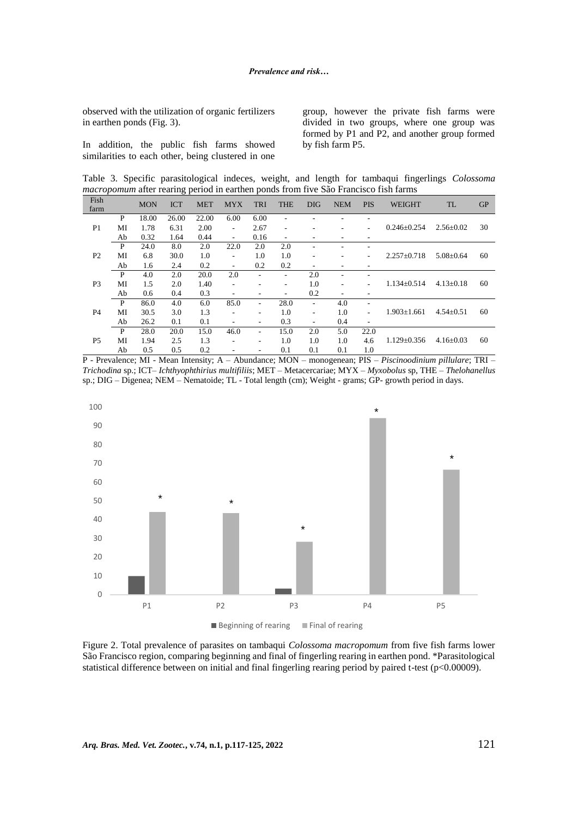observed with the utilization of organic fertilizers in earthen ponds (Fig. 3).

In addition, the public fish farms showed similarities to each other, being clustered in one group, however the private fish farms were divided in two groups, where one group was formed by P1 and P2, and another group formed by fish farm P5.

Table 3. Specific parasitological indeces, weight, and length for tambaqui fingerlings *Colossoma macropomum* after rearing period in earthen ponds from five São Francisco fish farms

| Fish<br>farm                                            |      | <b>MON</b> | <b>ICT</b>               | <b>MET</b>               | <b>MYX</b>               | <b>TRI</b>               | <b>THE</b> | <b>DIG</b>               | <b>NEM</b>        | <b>PIS</b>        | <b>WEIGHT</b>   | <b>TL</b> | GP |
|---------------------------------------------------------|------|------------|--------------------------|--------------------------|--------------------------|--------------------------|------------|--------------------------|-------------------|-------------------|-----------------|-----------|----|
|                                                         | P    | 18.00      | 26.00                    | 22.00                    | 6.00                     | 6.00                     |            |                          |                   |                   |                 |           |    |
| P <sub>1</sub><br>1.78<br>MI<br>0.32<br>Ab              |      | 6.31       | 2.00                     | $\overline{\phantom{a}}$ | 2.67                     | $\overline{\phantom{a}}$ |            |                          |                   | $0.246 \pm 0.254$ | $2.56 \pm 0.02$ | 30        |    |
|                                                         | 1.64 | 0.44       | $\sim$                   | 0.16                     | $\overline{\phantom{a}}$ |                          |            |                          |                   |                   |                 |           |    |
| P<br>24.0<br>6.8<br>MI<br>P <sub>2</sub><br>Ab<br>1.6   | 8.0  | 2.0        | 22.0                     | 2.0                      | 2.0                      |                          |            |                          |                   | $5.08 \pm 0.64$   |                 |           |    |
|                                                         | 30.0 | 1.0        | ٠                        | 1.0                      | 1.0                      | ۰                        |            |                          | $2.257 \pm 0.718$ |                   | 60              |           |    |
|                                                         | 2.4  | 0.2        | $\overline{\phantom{a}}$ | 0.2                      | 0.2                      |                          |            |                          |                   |                   |                 |           |    |
| P<br>4.0<br>P <sub>3</sub><br>MI<br>1.5<br>Ab<br>0.6    |      | 2.0        | 20.0                     | 2.0                      | ۰                        | $\overline{\phantom{a}}$ | 2.0        |                          |                   |                   | $4.13 \pm 0.18$ |           |    |
|                                                         |      | 2.0        | 1.40                     | $\overline{\phantom{a}}$ |                          | $\overline{\phantom{a}}$ | 1.0        | ٠                        |                   | $1.134 \pm 0.514$ |                 | 60        |    |
|                                                         |      | 0.4        | 0.3                      | ٠                        |                          | $\overline{\phantom{a}}$ | 0.2        | ۰                        |                   |                   |                 |           |    |
| P<br>86.0<br>P <sub>4</sub><br>MI<br>30.5<br>26.2<br>Ab | 4.0  | 6.0        | 85.0                     | ۰                        | 28.0                     |                          | 4.0        |                          |                   |                   |                 |           |    |
|                                                         |      | 3.0        | 1.3                      | ٠                        | ٠                        | 1.0                      | ۰          | 1.0                      |                   | $1.903 \pm 1.661$ | $4.54 \pm 0.51$ | 60        |    |
|                                                         | 0.1  | 0.1        | $\overline{\phantom{a}}$ | -                        | 0.3                      | -                        | 0.4        | $\overline{\phantom{a}}$ |                   |                   |                 |           |    |
| P<br>28.0<br>MI<br>P <sub>5</sub><br>1.94<br>0.5<br>Ab  | 20.0 | 15.0       | 46.0                     | ۰                        | 15.0                     | 2.0                      | 5.0        | 22.0                     |                   |                   |                 |           |    |
|                                                         |      | 2.5        | 1.3                      |                          | ۰                        | 1.0                      | 1.0        | 1.0                      | 4.6               | $1.129 \pm 0.356$ | $4.16 \pm 0.03$ | 60        |    |
|                                                         |      | 0.5        | 0.2                      |                          |                          | 0.1                      | 0.1        | 0.1                      | 1.0               |                   |                 |           |    |

P - Prevalence; MI - Mean Intensity; A – Abundance; MON – monogenean; PIS – *Piscinoodinium pillulare*; TRI – *Trichodina* sp.; ICT– *Ichthyophthirius multifiliis*; MET – Metacercariae; MYX – *Myxobolus* sp, THE – *Thelohanellus* sp.; DIG – Digenea; NEM – Nematoide; TL - Total length (cm); Weight - grams; GP- growth period in days.



Figure 2. Total prevalence of parasites on tambaqui *Colossoma macropomum* from five fish farms lower São Francisco region, comparing beginning and final of fingerling rearing in earthen pond. \*Parasitological statistical difference between on initial and final fingerling rearing period by paired t-test (p<0.00009).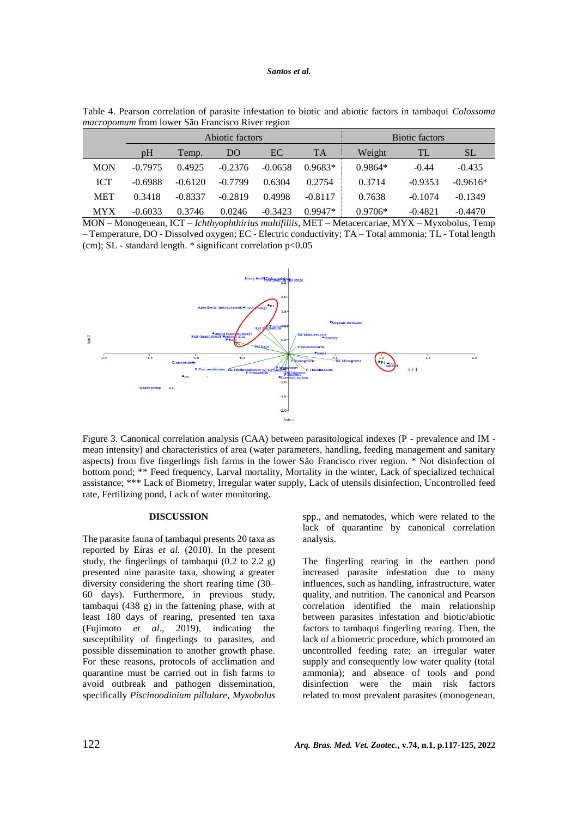| <i>macropomum</i> from fower São Francisco River region |                 |           |           |           |           |           |                       |            |  |
|---------------------------------------------------------|-----------------|-----------|-----------|-----------|-----------|-----------|-----------------------|------------|--|
|                                                         | Abiotic factors |           |           |           |           |           | <b>Biotic factors</b> |            |  |
|                                                         | pH              | Temp.     | DO        | EC.       | <b>TA</b> | Weight    | TL                    | <b>SL</b>  |  |
| <b>MON</b>                                              | $-0.7975$       | 0.4925    | $-0.2376$ | $-0.0658$ | $0.9683*$ | $0.9864*$ | $-0.44$               | $-0.435$   |  |
| <b>ICT</b>                                              | $-0.6988$       | $-0.6120$ | $-0.7799$ | 0.6304    | 0.2754    | 0.3714    | $-0.9353$             | $-0.9616*$ |  |
| <b>MET</b>                                              | 0.3418          | $-0.8337$ | $-0.2819$ | 0.4998    | $-0.8117$ | 0.7638    | $-0.1074$             | $-0.1349$  |  |
| <b>MYX</b>                                              | $-0.6033$       | 0.3746    | 0.0246    | $-0.3423$ | $0.9947*$ | $0.9706*$ | $-0.4821$             | $-0.4470$  |  |

Table 4. Pearson correlation of parasite infestation to biotic and abiotic factors in tambaqui *Colossoma*  from lower São Francisco Ri

MON – Monogenean, ICT – *Ichthyophthirius multifiliis*, MET – Metacercariae, MYX – Myxobolus, Temp – Temperature, DO - Dissolved oxygen; EC - Electric conductivity; TA – Total ammonia; TL - Total length (cm); SL - standard length. \* significant correlation p<0.05



Figure 3. Canonical correlation analysis (CAA) between parasitological indexes (P - prevalence and IM mean intensity) and characteristics of area (water parameters, handling, feeding management and sanitary aspects) from five fingerlings fish farms in the lower São Francisco river region. \* Not disinfection of bottom pond; \*\* Feed frequency, Larval mortality, Mortality in the winter, Lack of specialized technical assistance; \*\*\* Lack of Biometry, Irregular water supply, Lack of utensils disinfection, Uncontrolled feed rate, Fertilizing pond, Lack of water monitoring.

#### **DISCUSSION**

The parasite fauna of tambaqui presents 20 taxa as reported by Eiras *et al.* (2010). In the present study, the fingerlings of tambaqui  $(0.2 \text{ to } 2.2 \text{ g})$ presented nine parasite taxa, showing a greater diversity considering the short rearing time (30– 60 days). Furthermore, in previous study, tambaqui (438 g) in the fattening phase, with at least 180 days of rearing, presented ten taxa (Fujimoto *et al*., 2019), indicating the susceptibility of fingerlings to parasites, and possible dissemination to another growth phase. For these reasons, protocols of acclimation and quarantine must be carried out in fish farms to avoid outbreak and pathogen dissemination, specifically *Piscinoodinium pillulare*, *Myxobolus* spp., and nematodes, which were related to the lack of quarantine by canonical correlation analysis.

The fingerling rearing in the earthen pond increased parasite infestation due to many influences, such as handling, infrastructure, water quality, and nutrition. The canonical and Pearson correlation identified the main relationship between parasites infestation and biotic/abiotic factors to tambaqui fingerling rearing. Then, the lack of a biometric procedure, which promoted an uncontrolled feeding rate; an irregular water supply and consequently low water quality (total ammonia); and absence of tools and pond disinfection were the main risk factors related to most prevalent parasites (monogenean,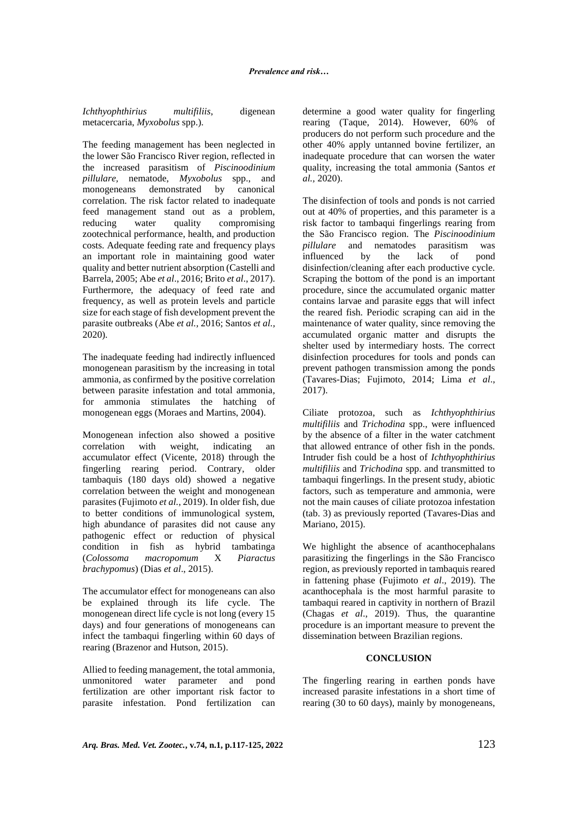*Ichthyophthirius multifiliis*, digenean metacercaria, *Myxobolus* spp.).

The feeding management has been neglected in the lower São Francisco River region, reflected in the increased parasitism of *Piscinoodinium pillulare,* nematode, *Myxobolus* spp., and monogeneans demonstrated by canonical correlation. The risk factor related to inadequate feed management stand out as a problem, reducing water quality compromising zootechnical performance, health, and production costs. Adequate feeding rate and frequency plays an important role in maintaining good water quality and better nutrient absorption (Castelli and Barrela, 2005; Abe *et al*., 2016; Brito *et al*., 2017). Furthermore, the adequacy of feed rate and frequency, as well as protein levels and particle size for each stage of fish development prevent the parasite outbreaks (Abe *et al.,* 2016; Santos *et al.,*  2020).

The inadequate feeding had indirectly influenced monogenean parasitism by the increasing in total ammonia, as confirmed by the positive correlation between parasite infestation and total ammonia, for ammonia stimulates the hatching of monogenean eggs (Moraes and Martins, 2004).

Monogenean infection also showed a positive correlation with weight, indicating an accumulator effect (Vicente, 2018) through the fingerling rearing period. Contrary, older tambaquis (180 days old) showed a negative correlation between the weight and monogenean parasites (Fujimoto *et al.,* 2019). In older fish, due to better conditions of immunological system, high abundance of parasites did not cause any pathogenic effect or reduction of physical condition in fish as hybrid tambatinga (*Colossoma macropomum* X *Piaractus brachypomus*) (Dias *et al*., 2015).

The accumulator effect for monogeneans can also be explained through its life cycle. The monogenean direct life cycle is not long (every 15 days) and four generations of monogeneans can infect the tambaqui fingerling within 60 days of rearing (Brazenor and Hutson, 2015).

Allied to feeding management, the total ammonia, unmonitored water parameter and pond fertilization are other important risk factor to parasite infestation. Pond fertilization can determine a good water quality for fingerling rearing (Taque, 2014). However, 60% of producers do not perform such procedure and the other 40% apply untanned bovine fertilizer, an inadequate procedure that can worsen the water quality, increasing the total ammonia (Santos *et al.,* 2020).

The disinfection of tools and ponds is not carried out at 40% of properties, and this parameter is a risk factor to tambaqui fingerlings rearing from the São Francisco region. The *Piscinoodinium pillulare* and nematodes parasitism was influenced by the lack of pond disinfection/cleaning after each productive cycle. Scraping the bottom of the pond is an important procedure, since the accumulated organic matter contains larvae and parasite eggs that will infect the reared fish. Periodic scraping can aid in the maintenance of water quality, since removing the accumulated organic matter and disrupts the shelter used by intermediary hosts. The correct disinfection procedures for tools and ponds can prevent pathogen transmission among the ponds (Tavares-Dias; Fujimoto, 2014; Lima *et al*., 2017).

Ciliate protozoa, such as *Ichthyophthirius multifiliis* and *Trichodina* spp., were influenced by the absence of a filter in the water catchment that allowed entrance of other fish in the ponds. Intruder fish could be a host of *Ichthyophthirius multifiliis* and *Trichodina* spp. and transmitted to tambaqui fingerlings. In the present study, abiotic factors, such as temperature and ammonia, were not the main causes of ciliate protozoa infestation (tab. 3) as previously reported (Tavares-Dias and Mariano, 2015).

We highlight the absence of acanthocephalans parasitizing the fingerlings in the São Francisco region, as previously reported in tambaquis reared in fattening phase (Fujimoto *et al*., 2019). The acanthocephala is the most harmful parasite to tambaqui reared in captivity in northern of Brazil (Chagas *et al*., 2019). Thus, the quarantine procedure is an important measure to prevent the dissemination between Brazilian regions.

### **CONCLUSION**

The fingerling rearing in earthen ponds have increased parasite infestations in a short time of rearing (30 to 60 days), mainly by monogeneans,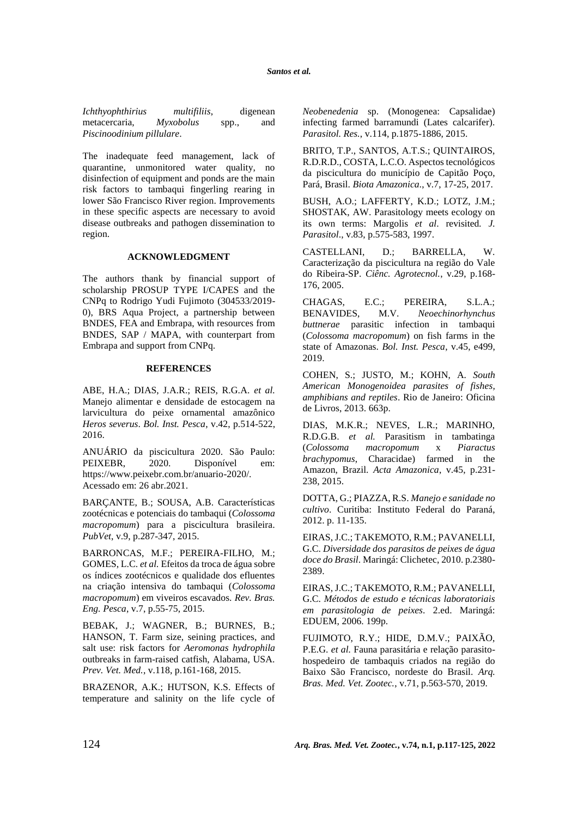*Ichthyophthirius multifiliis*, digenean metacercaria, *Myxobolus* spp., and *Piscinoodinium pillulare*.

The inadequate feed management, lack of quarantine, unmonitored water quality, no disinfection of equipment and ponds are the main risk factors to tambaqui fingerling rearing in lower São Francisco River region. Improvements in these specific aspects are necessary to avoid disease outbreaks and pathogen dissemination to region.

### **ACKNOWLEDGMENT**

The authors thank by financial support of scholarship PROSUP TYPE I/CAPES and the CNPq to Rodrigo Yudi Fujimoto (304533/2019- 0), BRS Aqua Project, a partnership between BNDES, FEA and Embrapa, with resources from BNDES, SAP / MAPA, with counterpart from Embrapa and support from CNPq.

### **REFERENCES**

ABE, H.A.; DIAS, J.A.R.; REIS, R.G.A. *et al.* Manejo alimentar e densidade de estocagem na larvicultura do peixe ornamental amazônico *Heros severus*. *Bol. Inst. Pesca*, v.42, p.514-522, 2016.

ANUÁRIO da piscicultura 2020. São Paulo: PEIXEBR, 2020. Disponível em: [https://www.peixebr.com.br/anuario-2020/.](https://www.peixebr.com.br/anuario-2020/) Acessado em: 26 abr.2021.

BARÇANTE, B.; SOUSA, A.B. Características zootécnicas e potenciais do tambaqui (*Colossoma macropomum*) para a piscicultura brasileira. *PubVet*, v.9, p.287-347, 2015.

BARRONCAS, M.F.; PEREIRA-FILHO, M.; GOMES, L.C. *et al.* Efeitos da troca de água sobre os índices zootécnicos e qualidade dos efluentes na criação intensiva do tambaqui (*Colossoma macropomum*) em viveiros escavados. *Rev. Bras. Eng. Pesca*, v.7, p.55-75, 2015.

BEBAK, J.; WAGNER, B.; BURNES, B.; HANSON, T. Farm size, seining practices, and salt use: risk factors for *Aeromonas hydrophila* outbreaks in farm-raised catfish, Alabama, USA. *Prev. Vet. Med.*, v.118, p.161-168, 2015.

BRAZENOR, A.K.; HUTSON, K.S. Effects of temperature and salinity on the life cycle of *Neobenedenia* sp. (Monogenea: Capsalidae) infecting farmed barramundi (Lates calcarifer). *Parasitol. Res.*, v.114, p.1875-1886, 2015.

BRITO, T.P., SANTOS, A.T.S.; QUINTAIROS, R.D.R.D., COSTA, L.C.O. Aspectos tecnológicos da piscicultura do município de Capitão Poço, Pará, Brasil. *Biota Amazonica.*, v.7, 17-25, 2017.

BUSH, A.O.; LAFFERTY, K.D.; LOTZ, J.M.; SHOSTAK, AW. Parasitology meets ecology on its own terms: Margolis *et al*. revisited*. J. Parasitol*., v.83, p.575-583, 1997.

CASTELLANI, D.; BARRELLA, W. Caracterização da piscicultura na região do Vale do Ribeira-SP. *Ciênc. Agrotecnol.*, v.29, p.168- 176, 2005.

CHAGAS, E.C.; PEREIRA, S.L.A.; BENAVIDES, M.V. *Neoechinorhynchus buttnerae* parasitic infection in tambaqui (*Colossoma macropomum*) on fish farms in the state of Amazonas. *Bol. Inst. Pesca*, v.45, e499, 2019.

COHEN, S.; JUSTO, M.; KOHN, A. *South American Monogenoidea parasites of fishes, amphibians and reptiles*. Rio de Janeiro: Oficina de Livros, 2013. 663p.

DIAS, M.K.R.; NEVES, L.R.; MARINHO, R.D.G.B. *et al.* Parasitism in tambatinga (*Colossoma macropomum* x *Piaractus brachypomus*, Characidae) farmed in the Amazon, Brazil. *Acta Amazonica*, v.45, p.231- 238, 2015.

DOTTA, G.; PIAZZA, R.S. *Manejo e sanidade no cultivo*. Curitiba: Instituto Federal do Paraná, 2012. p. 11-135.

EIRAS, J.C.; TAKEMOTO, R.M.; PAVANELLI, G.C. *Diversidade dos parasitos de peixes de água doce do Brasil*. Maringá: Clichetec, 2010. p.2380- 2389.

EIRAS, J.C.; TAKEMOTO, R.M.; PAVANELLI, G.C. *Métodos de estudo e técnicas laboratoriais em parasitologia de peixes*. 2.ed. Maringá: EDUEM, 2006. 199p.

FUJIMOTO, R.Y.; HIDE, D.M.V.; PAIXÃO, P.E.G. *et al.* Fauna parasitária e relação parasitohospedeiro de tambaquis criados na região do Baixo São Francisco, nordeste do Brasil. *Arq. Bras. Med. Vet. Zootec.*, v.71, p.563-570, 2019.